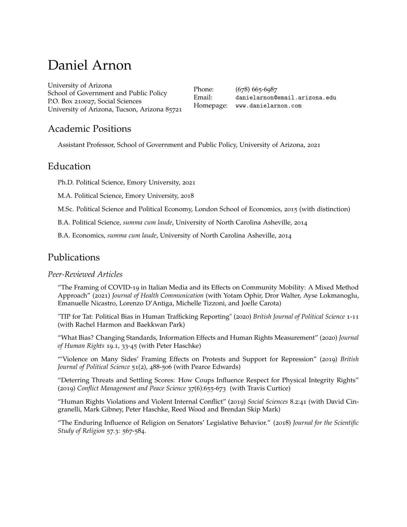# Daniel Arnon

[University of Arizona](https://sgpp.arizona.edu/) School of Government and Public Policy P.O. Box 210027, Social Sciences University of Arizona, Tucson, Arizona 85721

Phone: (678) 665-6987 Email: <danielarnon@email.arizona.edu> Homepage: <www.danielarnon.com>

### Academic Positions

Assistant Professor, School of Government and Public Policy, University of Arizona, 2021

### Education

Ph.D. Political Science, Emory University, 2021

M.A. Political Science, Emory University, 2018

M.Sc. Political Science and Political Economy, London School of Economics, 2015 (with distinction)

B.A. Political Science, *summa cum laude*, University of North Carolina Asheville, 2014

B.A. Economics, *summa cum laude*, University of North Carolina Asheville, 2014

### Publications

#### *Peer-Reviewed Articles*

"The Framing of COVID-19 [in Italian Media and its Effects on Community Mobility: A Mixed Method](https://www.tandfonline.com/doi/abs/10.1080/10810730.2021.1899344) [Approach"](https://www.tandfonline.com/doi/abs/10.1080/10810730.2021.1899344) (2021) *Journal of Health Communication* (with Yotam Ophir, Dror Walter, Ayse Lokmanoglu, Emanuelle Nicastro, Lorenzo D'Antiga, Michelle Tizzoni, and Joelle Carota)

["TIP for Tat: Political Bias in Human Trafficking Reporting" \(](https://www.cambridge.org/core/journals/british-journal-of-political-science/article/abs/tip-for-tat-political-bias-in-human-trafficking-reporting/67B2C92B2CE483EC037912998B374312)2020) *British Journal of Political Science* 1-11 [\(with Rachel Harmon and Baekkwan Park\)](https://www.cambridge.org/core/journals/british-journal-of-political-science/article/abs/tip-for-tat-political-bias-in-human-trafficking-reporting/67B2C92B2CE483EC037912998B374312)

["What Bias? Changing Standards, Information Effects and Human Rights Measurement" \(](https://www.tandfonline.com/doi/abs/10.1080/14754835.2019.1671179?journalCode=cjhr20)2020) *Journal of Human Rights* 19.1, 33-45 [\(with Peter Haschke\)](https://www.tandfonline.com/doi/abs/10.1080/14754835.2019.1671179?journalCode=cjhr20)

["'Violence on Many Sides' Framing Effects on Protests and Support for Repression" \(](https://www.cambridge.org/core/journals/british-journal-of-political-science/article/violence-on-many-sides-framing-effects-on-protest-and-support-for-repression/FA59CB04705B027937A736571977499F)2019) *British [Journal of Political Science](https://www.cambridge.org/core/journals/british-journal-of-political-science/article/violence-on-many-sides-framing-effects-on-protest-and-support-for-repression/FA59CB04705B027937A736571977499F)* 51(2), 488-506 (with Pearce Edwards)

["Deterring Threats and Settling Scores: How Coups Influence Respect for Physical Integrity Rights"](https://journals.sagepub.com/doi/full/10.1177/0738894219843240) (2019) *[Conflict Management and Peace Science](https://journals.sagepub.com/doi/full/10.1177/0738894219843240)* 37(6):655-673 (with Travis Curtice)

["Human Rights Violations and Violent Internal Conflict" \(](https://www.mdpi.com/2076-0760/8/2/41)2019) *Social Sciences* 8.2:41 (with David Cingranelli, Mark Gibney, Peter Haschke, Reed Wood and Brendan Skip Mark)

["The Enduring Influence of Religion on Senators' Legislative Behavior." \(](https://onlinelibrary.wiley.com/doi/full/10.1111/jssr.12535)2018) *Journal for the Scientific [Study of Religion](https://onlinelibrary.wiley.com/doi/full/10.1111/jssr.12535)* 57.3: 567-584.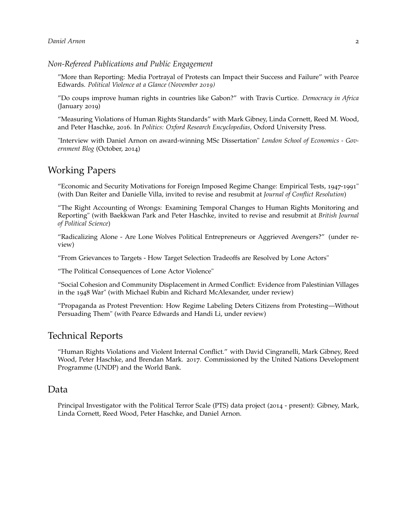#### *Non-Refereed Publications and Public Engagement*

["More than Reporting: Media Portrayal of Protests can Impact their Success and Failure" with Pearce](https://politicalviolenceataglance.org/2019/11/11/more-than-reporting-media-portrayal-of-protests-can-impact-their-success-and-failure/) Edwards. *[Political Violence at a Glance \(November](https://politicalviolenceataglance.org/2019/11/11/more-than-reporting-media-portrayal-of-protests-can-impact-their-success-and-failure/) 2019)*

["Do coups improve human rights in countries like Gabon?" with Travis Curtice.](http://democracyinafrica.org/coups/) *Democracy in Africa* (January 2019)

["Measuring Violations of Human Rights Standards" with Mark Gibney, Linda Cornett, Reed M. Wood,](https://oxfordre.com/politics/view/10.1093/acrefore/9780190228637.001.0001/acrefore-9780190228637-e-23) and Peter Haschke, 2016. In *[Politics: Oxford Research Encyclopedias,](https://oxfordre.com/politics/view/10.1093/acrefore/9780190228637.001.0001/acrefore-9780190228637-e-23)* Oxford University Press.

["Interview with Daniel Arnon on award-winning MSc Dissertation"](https://blogs.lse.ac.uk/government/2016/04/13/msc-research-daniel-arnon-on-his-msc-political-science-and-political-economy-dissertation/) *London School of Economics - Gov[ernment Blog](https://blogs.lse.ac.uk/government/2016/04/13/msc-research-daniel-arnon-on-his-msc-political-science-and-political-economy-dissertation/)* (October, 2014)

### Working Papers

"Economic and Security Motivations for Foreign Imposed Regime Change: Empirical Tests, 1947-1991" (with Dan Reiter and Danielle Villa, invited to revise and resubmit at *Journal of Conflict Resolution*)

"The Right Accounting of Wrongs: Examining Temporal Changes to Human Rights Monitoring and Reporting" (with Baekkwan Park and Peter Haschke, invited to revise and resubmit at *British Journal of Political Science*)

"Radicalizing Alone - Are Lone Wolves Political Entrepreneurs or Aggrieved Avengers?" (under review)

"From Grievances to Targets - How Target Selection Tradeoffs are Resolved by Lone Actors"

"The Political Consequences of Lone Actor Violence"

["Social Cohesion and Community Displacement in Armed Conflict: Evidence from Palestinian Villages](https://preprints.apsanet.org/engage/apsa/article-details/5f8ee55ca0f2a70019ceef47) in the 1948 [War" \(with Michael Rubin and Richard McAlexander, under review\)](https://preprints.apsanet.org/engage/apsa/article-details/5f8ee55ca0f2a70019ceef47)

["Propaganda as Protest Prevention: How Regime Labeling Deters Citizens from Protesting—Without](https://preprints.apsanet.org/engage/apsa/article-details/5f87165eef84bb00192ea6b1) [Persuading Them" \(with Pearce Edwards and Handi Li, under review\)](https://preprints.apsanet.org/engage/apsa/article-details/5f87165eef84bb00192ea6b1)

### Technical Reports

"Human Rights Violations and Violent Internal Conflict." with David Cingranelli, Mark Gibney, Reed Wood, Peter Haschke, and Brendan Mark. 2017. Commissioned by the United Nations Development Programme (UNDP) and the World Bank.

#### Data

Principal Investigator with the Political Terror Scale (PTS) data project (2014 - present): Gibney, Mark, Linda Cornett, Reed Wood, Peter Haschke, and Daniel Arnon.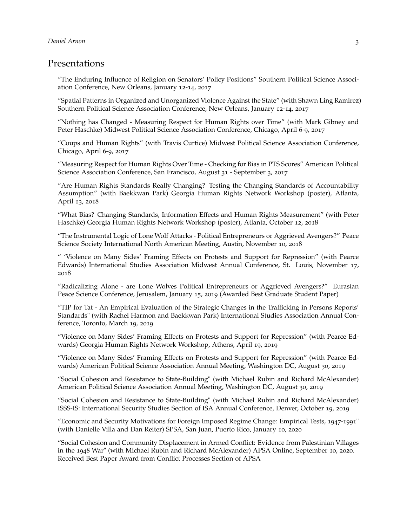### Presentations

"The Enduring Influence of Religion on Senators' Policy Positions" Southern Political Science Association Conference, New Orleans, January 12-14, 2017

"Spatial Patterns in Organized and Unorganized Violence Against the State" (with Shawn Ling Ramirez) Southern Political Science Association Conference, New Orleans, January 12-14, 2017

"Nothing has Changed - Measuring Respect for Human Rights over Time" (with Mark Gibney and Peter Haschke) Midwest Political Science Association Conference, Chicago, April 6-9, 2017

"Coups and Human Rights" (with Travis Curtice) Midwest Political Science Association Conference, Chicago, April 6-9, 2017

"Measuring Respect for Human Rights Over Time - Checking for Bias in PTS Scores" American Political Science Association Conference, San Francisco, August 31 - September 3, 2017

"Are Human Rights Standards Really Changing? Testing the Changing Standards of Accountability Assumption" (with Baekkwan Park) Georgia Human Rights Network Workshop (poster), Atlanta, April 13, 2018

"What Bias? Changing Standards, Information Effects and Human Rights Measurement" (with Peter Haschke) Georgia Human Rights Network Workshop (poster), Atlanta, October 12, 2018

"The Instrumental Logic of Lone Wolf Attacks - Political Entrepreneurs or Aggrieved Avengers?" Peace Science Society International North American Meeting, Austin, November 10, 2018

" 'Violence on Many Sides' Framing Effects on Protests and Support for Repression" (with Pearce Edwards) International Studies Association Midwest Annual Conference, St. Louis, November 17, 2018

"Radicalizing Alone - are Lone Wolves Political Entrepreneurs or Aggrieved Avengers?" Eurasian Peace Science Conference, Jerusalem, January 15, 2019 (Awarded Best Graduate Student Paper)

"TIP for Tat - An Empirical Evaluation of the Strategic Changes in the Trafficking in Persons Reports' Standards" (with Rachel Harmon and Baekkwan Park) International Studies Association Annual Conference, Toronto, March 19, 2019

"Violence on Many Sides' Framing Effects on Protests and Support for Repression" (with Pearce Edwards) Georgia Human Rights Network Workshop, Athens, April 19, 2019

"Violence on Many Sides' Framing Effects on Protests and Support for Repression" (with Pearce Edwards) American Political Science Association Annual Meeting, Washington DC, August 30, 2019

"Social Cohesion and Resistance to State-Building" (with Michael Rubin and Richard McAlexander) American Political Science Association Annual Meeting, Washington DC, August 30, 2019

"Social Cohesion and Resistance to State-Building" (with Michael Rubin and Richard McAlexander) ISSS-IS: International Security Studies Section of ISA Annual Conference, Denver, October 19, 2019

"Economic and Security Motivations for Foreign Imposed Regime Change: Empirical Tests, 1947-1991" (with Danielle Villa and Dan Reiter) SPSA, San Juan, Puerto Rico, January 10, 2020

"Social Cohesion and Community Displacement in Armed Conflict: Evidence from Palestinian Villages in the 1948 War" (with Michael Rubin and Richard McAlexander) APSA Online, September 10, 2020. Received Best Paper Award from Conflict Processes Section of APSA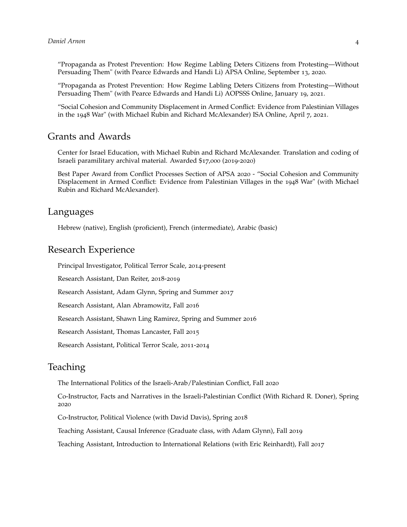"Propaganda as Protest Prevention: How Regime Labling Deters Citizens from Protesting—Without Persuading Them" (with Pearce Edwards and Handi Li) APSA Online, September 13, 2020.

"Propaganda as Protest Prevention: How Regime Labling Deters Citizens from Protesting—Without Persuading Them" (with Pearce Edwards and Handi Li) AOPSSS Online, January 19, 2021.

"Social Cohesion and Community Displacement in Armed Conflict: Evidence from Palestinian Villages in the 1948 War" (with Michael Rubin and Richard McAlexander) ISA Online, April 7, 2021.

### Grants and Awards

Center for Israel Education, with Michael Rubin and Richard McAlexander. Translation and coding of Israeli paramilitary archival material. Awarded \$17,000 (2019-2020)

Best Paper Award from Conflict Processes Section of APSA 2020 - "Social Cohesion and Community Displacement in Armed Conflict: Evidence from Palestinian Villages in the 1948 War" (with Michael Rubin and Richard McAlexander).

#### Languages

Hebrew (native), English (proficient), French (intermediate), Arabic (basic)

#### Research Experience

Principal Investigator, Political Terror Scale, 2014-present

Research Assistant, Dan Reiter, 2018-2019

Research Assistant, Adam Glynn, Spring and Summer 2017

Research Assistant, Alan Abramowitz, Fall 2016

Research Assistant, Shawn Ling Ramirez, Spring and Summer 2016

Research Assistant, Thomas Lancaster, Fall 2015

Research Assistant, Political Terror Scale, 2011-2014

### Teaching

The International Politics of the Israeli-Arab/Palestinian Conflict, Fall 2020

Co-Instructor, Facts and Narratives in the Israeli-Palestinian Conflict (With Richard R. Doner), Spring 2020

Co-Instructor, Political Violence (with David Davis), Spring 2018

Teaching Assistant, Causal Inference (Graduate class, with Adam Glynn), Fall 2019

Teaching Assistant, Introduction to International Relations (with Eric Reinhardt), Fall 2017